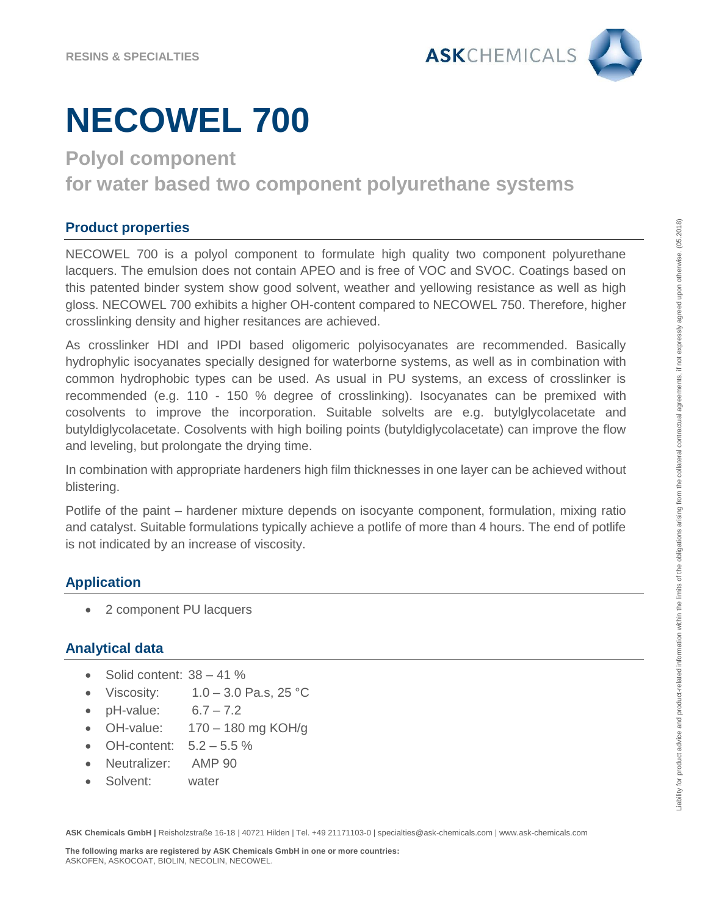

# **NECOWEL 700**

**Polyol component** 

**for water based two component polyurethane systems**

# **Product properties**

NECOWEL 700 is a polyol component to formulate high quality two component polyurethane lacquers. The emulsion does not contain APEO and is free of VOC and SVOC. Coatings based on this patented binder system show good solvent, weather and yellowing resistance as well as high gloss. NECOWEL 700 exhibits a higher OH-content compared to NECOWEL 750. Therefore, higher crosslinking density and higher resitances are achieved.

As crosslinker HDI and IPDI based oligomeric polyisocyanates are recommended. Basically hydrophylic isocyanates specially designed for waterborne systems, as well as in combination with common hydrophobic types can be used. As usual in PU systems, an excess of crosslinker is recommended (e.g. 110 - 150 % degree of crosslinking). Isocyanates can be premixed with cosolvents to improve the incorporation. Suitable solvelts are e.g. butylglycolacetate and butyldiglycolacetate. Cosolvents with high boiling points (butyldiglycolacetate) can improve the flow and leveling, but prolongate the drying time.

In combination with appropriate hardeners high film thicknesses in one layer can be achieved without blistering.

Potlife of the paint – hardener mixture depends on isocyante component, formulation, mixing ratio and catalyst. Suitable formulations typically achieve a potlife of more than 4 hours. The end of potlife is not indicated by an increase of viscosity.

# **Application**

• 2 component PU lacquers

## **Analytical data**

- Solid content: 38 41 %
- Viscosity:  $1.0 3.0$  Pa.s,  $25$  °C
- $pH-value: 6.7 7.2$
- OH-value:  $170 180$  mg KOH/g
- OH-content:  $5.2 5.5 \%$
- Neutralizer: AMP 90
- Solvent: water

**ASK Chemicals GmbH |** Reisholzstraße 16-18 | 40721 Hilden | Tel. +49 21171103-0 | specialties@ask-chemicals.com | www.ask-chemicals.com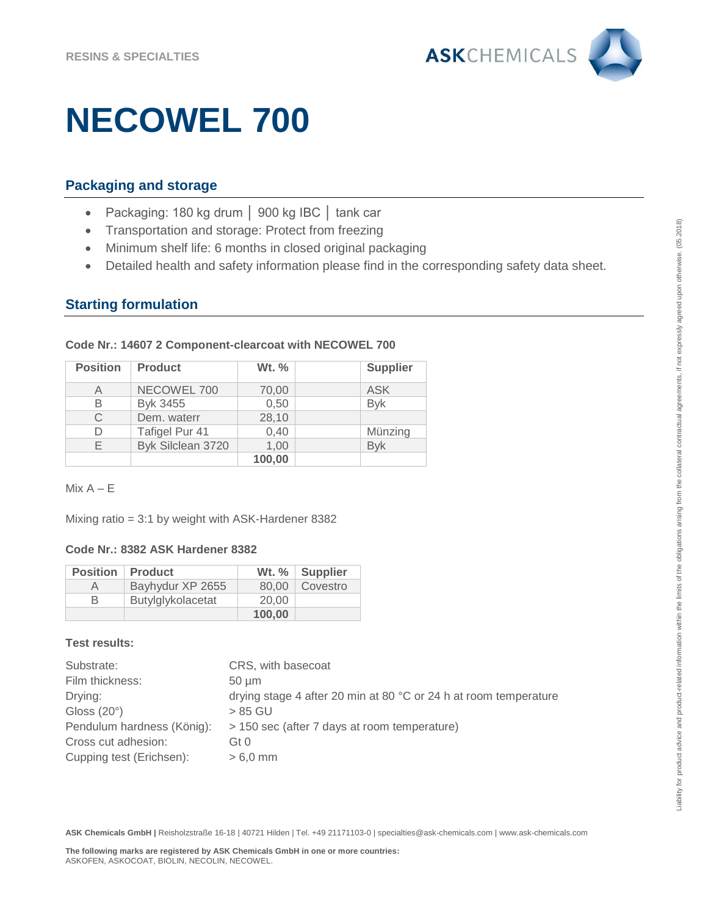

# **NECOWEL 700**

## **Packaging and storage**

- Packaging: 180 kg drum │ 900 kg IBC │ tank car
- Transportation and storage: Protect from freezing
- Minimum shelf life: 6 months in closed original packaging
- Detailed health and safety information please find in the corresponding safety data sheet.

## **Starting formulation**

| <b>Position</b> | <b>Product</b>    | Wt. %  | <b>Supplier</b> |
|-----------------|-------------------|--------|-----------------|
| Α               | NECOWEL 700       | 70,00  | ASK             |
| В               | Byk 3455          | 0,50   | <b>Byk</b>      |
| С               | Dem. waterr       | 28,10  |                 |
|                 | Tafigel Pur 41    | 0,40   | Münzing         |
| F               | Byk Silclean 3720 | 1,00   | <b>Byk</b>      |
|                 |                   | 100,00 |                 |

### **Code Nr.: 14607 2 Component-clearcoat with NECOWEL 700**

 $Mix A – E$ 

Mixing ratio = 3:1 by weight with ASK-Hardener 8382

#### **Code Nr.: 8382 ASK Hardener 8382**

| <b>Position</b> | <b>Product</b>    |        | Wt. %   Supplier |
|-----------------|-------------------|--------|------------------|
| А               | Bayhydur XP 2655  | 80.00  | Covestro         |
| R               | Butylglykolacetat | 20.00  |                  |
|                 |                   | 100,00 |                  |

## **Test results:**

| Substrate:                 | CRS, with basecoat                                               |
|----------------------------|------------------------------------------------------------------|
| Film thickness:            | $50 \mu m$                                                       |
| Drying:                    | drying stage 4 after 20 min at 80 °C or 24 h at room temperature |
| Gloss $(20^\circ)$         | > 85 GU                                                          |
| Pendulum hardness (König): | > 150 sec (after 7 days at room temperature)                     |
| Cross cut adhesion:        | Gt 0                                                             |
| Cupping test (Erichsen):   | $>6.0$ mm                                                        |

**ASK Chemicals GmbH |** Reisholzstraße 16-18 | 40721 Hilden | Tel. +49 21171103-0 | specialties@ask-chemicals.com | www.ask-chemicals.com